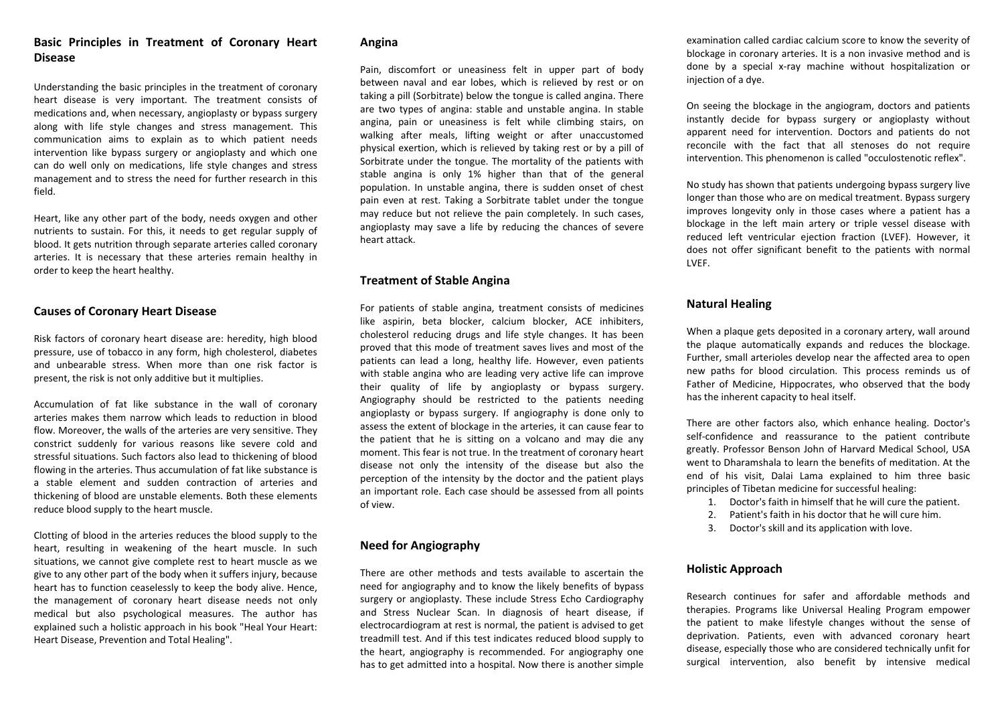## **Basic Principles in Treatment of Coronary Heart Disease**

Understanding the basic principles in the treatment of coronary heart disease is very important. The treatment consists of medications and, when necessary, angioplasty or bypass surgery along with life style changes and stress management. This communication aims to explain as to which patient needs intervention like bypass surgery or angioplasty and which one can do well only on medications, life style changes and stress management and to stress the need for further research in this field.

Heart, like any other part of the body, needs oxygen and other nutrients to sustain. For this, it needs to get regular supply of blood. It gets nutrition through separate arteries called coronary arteries. It is necessary that these arteries remain healthy in order to keep the heart healthy.

## **Causes of Coronary Heart Disease**

Risk factors of coronary heart disease are: heredity, high blood pressure, use of tobacco in any form, high cholesterol, diabetes and unbearable stress. When more than one risk factor is present, the risk is not only additive but it multiplies.

Accumulation of fat like substance in the wall of coronary arteries makes them narrow which leads to reduction in blood flow. Moreover, the walls of the arteries are very sensitive. They constrict suddenly for various reasons like severe cold and stressful situations. Such factors also lead to thickening of blood flowing in the arteries. Thus accumulation of fat like substance is a stable element and sudden contraction of arteries and thickening of blood are unstable elements. Both these elements reduce blood supply to the heart muscle.

Clotting of blood in the arteries reduces the blood supply to the heart, resulting in weakening of the heart muscle. In such situations, we cannot give complete rest to heart muscle as we give to any other part of the body when it suffers injury, because heart has to function ceaselessly to keep the body alive. Hence, the management of coronary heart disease needs not only medical but also psychological measures. The author has explained such <sup>a</sup> holistic approach in his book "Heal Your Heart: Heart Disease, Prevention and Total Healing".

#### **Angina**

Pain, discomfort or uneasiness felt in upper part of body between naval and ear lobes, which is relieved by rest or on taking <sup>a</sup> pill (Sorbitrate) below the tongue is called angina. There are two types of angina: stable and unstable angina. In stable angina, pain or uneasiness is felt while climbing stairs, on walking after meals, lifting weight or after unaccustomed physical exertion, which is relieved by taking rest or by <sup>a</sup> pill of Sorbitrate under the tongue. The mortality of the patients with stable angina is only 1% higher than that of the general population. In unstable angina, there is sudden onset of chest pain even at rest. Taking <sup>a</sup> Sorbitrate tablet under the tongue may reduce but not relieve the pain completely. In such cases, angioplasty may save <sup>a</sup> life by reducing the chances of severe heart attack.

## **Treatment of Stable Angina**

For patients of stable angina, treatment consists of medicines like aspirin, beta blocker, calcium blocker, ACE inhibiters, cholesterol reducing drugs and life style changes. It has been proved that this mode of treatment saves lives and most of the patients can lead <sup>a</sup> long, healthy life. However, even patients with stable angina who are leading very active life can improve their quality of life by angioplasty or bypass surgery. Angiography should be restricted to the patients needing angioplasty or bypass surgery. If angiography is done only to assess the extent of blockage in the arteries, it can cause fear to the patient that he is sitting on <sup>a</sup> volcano and may die any moment. This fear is not true. In the treatment of coronary heart disease not only the intensity of the disease but also the perception of the intensity by the doctor and the patient plays an important role. Each case should be assessed from all points of view.

## **Need for Angiography**

There are other methods and tests available to ascertain the need for angiography and to know the likely benefits of bypass surgery or angioplasty. These include Stress Echo Cardiography and Stress Nuclear Scan. In diagnosis of heart disease, if electrocardiogram at rest is normal, the patient is advised to get treadmill test. And if this test indicates reduced blood supply to the heart, angiography is recommended. For angiography one has to get admitted into <sup>a</sup> hospital. Now there is another simple

examination called cardiac calcium score to know the severity of blockage in coronary arteries. It is <sup>a</sup> non invasive method and is done by <sup>a</sup> special <sup>x</sup>‐ray machine without hospitalization or injection of <sup>a</sup> dye.

On seeing the blockage in the angiogram, doctors and patients instantly decide for bypass surgery or angioplasty without apparent need for intervention. Doctors and patients do not reconcile with the fact that all stenoses do not require intervention. This phenomenon is called "occulostenotic reflex".

No study has shown that patients undergoing bypass surgery live longer than those who are on medical treatment. Bypass surgery improves longevity only in those cases where <sup>a</sup> patient has <sup>a</sup> blockage in the left main artery or triple vessel disease with reduced left ventricular ejection fraction (LVEF). However, it does not offer significant benefit to the patients with normal LVEF.

## **Natural Healing**

When <sup>a</sup> plaque gets deposited in <sup>a</sup> coronary artery, wall around the plaque automatically expands and reduces the blockage. Further, small arterioles develop near the affected area to open new paths for blood circulation. This process reminds us of Father of Medicine, Hippocrates, who observed that the body has the inherent capacity to heal itself.

There are other factors also, which enhance healing. Doctor's self‐confidence and reassurance to the patient contribute greatly. Professor Benson John of Harvard Medical School, USA went to Dharamshala to learn the benefits of meditation. At the end of his visit, Dalai Lama explained to him three basic principles of Tibetan medicine for successful healing:

- 1. Doctor's faith in himself that he will cure the patient.
- 2. Patient's faith in his doctor that he will cure him.
- 3. Doctor's skill and its application with love.

## **Holistic Approach**

Research continues for safer and affordable methods and therapies. Programs like Universal Healing Program empower the patient to make lifestyle changes without the sense of deprivation. Patients, even with advanced coronary heart disease, especially those who are considered technically unfit for surgical intervention, also benefit by intensive medical